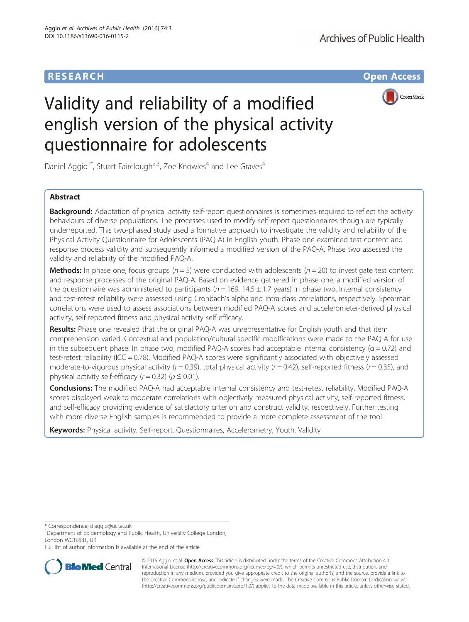### **RESEARCH CHE Open Access**



# Validity and reliability of a modified english version of the physical activity questionnaire for adolescents

Daniel Aggio<sup>1\*</sup>, Stuart Fairclough<sup>2,3</sup>, Zoe Knowles<sup>4</sup> and Lee Graves<sup>4</sup>

#### Abstract

**Background:** Adaptation of physical activity self-report questionnaires is sometimes required to reflect the activity behaviours of diverse populations. The processes used to modify self-report questionnaires though are typically underreported. This two-phased study used a formative approach to investigate the validity and reliability of the Physical Activity Questionnaire for Adolescents (PAQ-A) in English youth. Phase one examined test content and response process validity and subsequently informed a modified version of the PAQ-A. Phase two assessed the validity and reliability of the modified PAQ-A.

**Methods:** In phase one, focus groups ( $n = 5$ ) were conducted with adolescents ( $n = 20$ ) to investigate test content and response processes of the original PAQ-A. Based on evidence gathered in phase one, a modified version of the questionnaire was administered to participants ( $n = 169$ , 14.5  $\pm$  1.7 years) in phase two. Internal consistency and test-retest reliability were assessed using Cronbach's alpha and intra-class correlations, respectively. Spearman correlations were used to assess associations between modified PAQ-A scores and accelerometer-derived physical activity, self-reported fitness and physical activity self-efficacy.

Results: Phase one revealed that the original PAQ-A was unrepresentative for English youth and that item comprehension varied. Contextual and population/cultural-specific modifications were made to the PAQ-A for use in the subsequent phase. In phase two, modified PAQ-A scores had acceptable internal consistency ( $\alpha$  = 0.72) and test-retest reliability (ICC = 0.78). Modified PAQ-A scores were significantly associated with objectively assessed moderate-to-vigorous physical activity ( $r = 0.39$ ), total physical activity ( $r = 0.42$ ), self-reported fitness ( $r = 0.35$ ), and physical activity self-efficacy ( $r = 0.32$ ) ( $p \le 0.01$ ).

Conclusions: The modified PAQ-A had acceptable internal consistency and test-retest reliability. Modified PAQ-A scores displayed weak-to-moderate correlations with objectively measured physical activity, self-reported fitness, and self-efficacy providing evidence of satisfactory criterion and construct validity, respectively. Further testing with more diverse English samples is recommended to provide a more complete assessment of the tool.

Keywords: Physical activity, Self-report, Questionnaires, Accelerometry, Youth, Validity

\* Correspondence: [d.aggio@ucl.ac.uk](mailto:d.aggio@ucl.ac.uk) <sup>1</sup>

Full list of author information is available at the end of the article



© 2016 Aggio et al. Open Access This article is distributed under the terms of the Creative Commons Attribution 4.0 International License [\(http://creativecommons.org/licenses/by/4.0/](http://creativecommons.org/licenses/by/4.0/)), which permits unrestricted use, distribution, and reproduction in any medium, provided you give appropriate credit to the original author(s) and the source, provide a link to the Creative Commons license, and indicate if changes were made. The Creative Commons Public Domain Dedication waiver [\(http://creativecommons.org/publicdomain/zero/1.0/](http://creativecommons.org/publicdomain/zero/1.0/)) applies to the data made available in this article, unless otherwise stated.

<sup>&</sup>lt;sup>1</sup>Department of Epidemiology and Public Health, University College London, London WC1E6BT, UK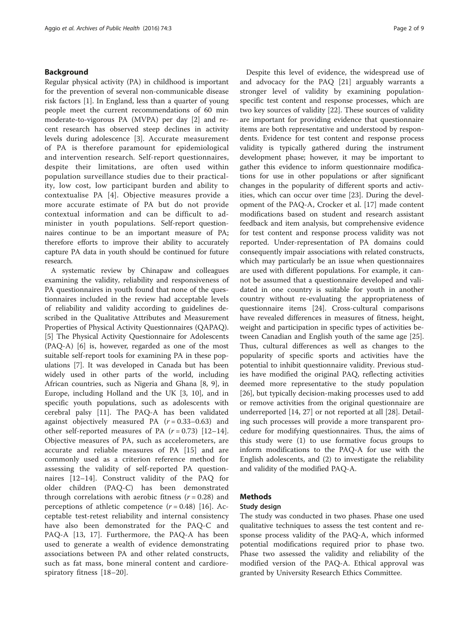#### Background

Regular physical activity (PA) in childhood is important for the prevention of several non-communicable disease risk factors [\[1\]](#page-7-0). In England, less than a quarter of young people meet the current recommendations of 60 min moderate-to-vigorous PA (MVPA) per day [\[2](#page-7-0)] and recent research has observed steep declines in activity levels during adolescence [\[3](#page-7-0)]. Accurate measurement of PA is therefore paramount for epidemiological and intervention research. Self-report questionnaires, despite their limitations, are often used within population surveillance studies due to their practicality, low cost, low participant burden and ability to contextualise PA [[4](#page-7-0)]. Objective measures provide a more accurate estimate of PA but do not provide contextual information and can be difficult to administer in youth populations. Self-report questionnaires continue to be an important measure of PA; therefore efforts to improve their ability to accurately capture PA data in youth should be continued for future research.

A systematic review by Chinapaw and colleagues examining the validity, reliability and responsiveness of PA questionnaires in youth found that none of the questionnaires included in the review had acceptable levels of reliability and validity according to guidelines described in the Qualitative Attributes and Measurement Properties of Physical Activity Questionnaires (QAPAQ). [[5\]](#page-7-0) The Physical Activity Questionnaire for Adolescents (PAQ-A) [[6\]](#page-7-0) is, however, regarded as one of the most suitable self-report tools for examining PA in these populations [[7\]](#page-7-0). It was developed in Canada but has been widely used in other parts of the world, including African countries, such as Nigeria and Ghana [\[8](#page-7-0), [9](#page-7-0)], in Europe, including Holland and the UK [[3](#page-7-0), [10\]](#page-7-0), and in specific youth populations, such as adolescents with cerebral palsy [\[11](#page-7-0)]. The PAQ-A has been validated against objectively measured PA  $(r = 0.33 - 0.63)$  and other self-reported measures of PA  $(r = 0.73)$  [\[12](#page-7-0)–[14](#page-7-0)]. Objective measures of PA, such as accelerometers, are accurate and reliable measures of PA [[15\]](#page-7-0) and are commonly used as a criterion reference method for assessing the validity of self-reported PA questionnaires [[12](#page-7-0)–[14\]](#page-7-0). Construct validity of the PAQ for older children (PAQ-C) has been demonstrated through correlations with aerobic fitness  $(r = 0.28)$  and perceptions of athletic competence  $(r = 0.48)$  [[16\]](#page-7-0). Acceptable test-retest reliability and internal consistency have also been demonstrated for the PAQ-C and PAQ-A [\[13](#page-7-0), [17](#page-7-0)]. Furthermore, the PAQ-A has been used to generate a wealth of evidence demonstrating associations between PA and other related constructs, such as fat mass, bone mineral content and cardiorespiratory fitness [\[18](#page-7-0)–[20](#page-7-0)].

Despite this level of evidence, the widespread use of and advocacy for the PAQ [\[21](#page-7-0)] arguably warrants a stronger level of validity by examining populationspecific test content and response processes, which are two key sources of validity [\[22](#page-7-0)]. These sources of validity are important for providing evidence that questionnaire items are both representative and understood by respondents. Evidence for test content and response process validity is typically gathered during the instrument development phase; however, it may be important to gather this evidence to inform questionnaire modifications for use in other populations or after significant changes in the popularity of different sports and activities, which can occur over time [\[23\]](#page-7-0). During the development of the PAQ-A, Crocker et al. [[17](#page-7-0)] made content modifications based on student and research assistant feedback and item analysis, but comprehensive evidence for test content and response process validity was not reported. Under-representation of PA domains could consequently impair associations with related constructs, which may particularly be an issue when questionnaires are used with different populations. For example, it cannot be assumed that a questionnaire developed and validated in one country is suitable for youth in another country without re-evaluating the appropriateness of questionnaire items [[24](#page-7-0)]. Cross-cultural comparisons have revealed differences in measures of fitness, height, weight and participation in specific types of activities between Canadian and English youth of the same age [\[25](#page-7-0)]. Thus, cultural differences as well as changes to the popularity of specific sports and activities have the potential to inhibit questionnaire validity. Previous studies have modified the original PAQ, reflecting activities deemed more representative to the study population [[26\]](#page--1-0), but typically decision-making processes used to add or remove activities from the original questionnaire are underreported [[14,](#page-7-0) [27](#page--1-0)] or not reported at all [[28\]](#page--1-0). Detailing such processes will provide a more transparent procedure for modifying questionnaires. Thus, the aims of this study were (1) to use formative focus groups to inform modifications to the PAQ-A for use with the English adolescents, and (2) to investigate the reliability and validity of the modified PAQ-A.

#### Methods

#### Study design

The study was conducted in two phases. Phase one used qualitative techniques to assess the test content and response process validity of the PAQ-A, which informed potential modifications required prior to phase two. Phase two assessed the validity and reliability of the modified version of the PAQ-A. Ethical approval was granted by University Research Ethics Committee.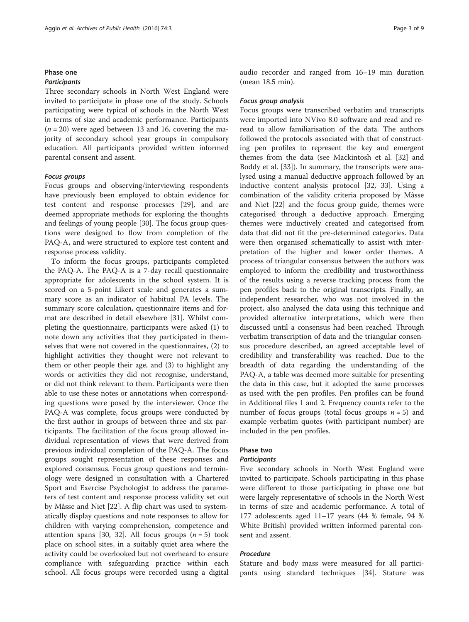#### Phase one

#### **Participants**

Three secondary schools in North West England were invited to participate in phase one of the study. Schools participating were typical of schools in the North West in terms of size and academic performance. Participants  $(n = 20)$  were aged between 13 and 16, covering the majority of secondary school year groups in compulsory education. All participants provided written informed parental consent and assent.

#### Focus groups

Focus groups and observing/interviewing respondents have previously been employed to obtain evidence for test content and response processes [[29\]](#page--1-0), and are deemed appropriate methods for exploring the thoughts and feelings of young people [[30\]](#page--1-0). The focus group questions were designed to flow from completion of the PAQ-A, and were structured to explore test content and response process validity.

To inform the focus groups, participants completed the PAQ-A. The PAQ-A is a 7-day recall questionnaire appropriate for adolescents in the school system. It is scored on a 5-point Likert scale and generates a summary score as an indicator of habitual PA levels. The summary score calculation, questionnaire items and format are described in detail elsewhere [\[31](#page--1-0)]. Whilst completing the questionnaire, participants were asked (1) to note down any activities that they participated in themselves that were not covered in the questionnaires, (2) to highlight activities they thought were not relevant to them or other people their age, and (3) to highlight any words or activities they did not recognise, understand, or did not think relevant to them. Participants were then able to use these notes or annotations when corresponding questions were posed by the interviewer. Once the PAQ-A was complete, focus groups were conducted by the first author in groups of between three and six participants. The facilitation of the focus group allowed individual representation of views that were derived from previous individual completion of the PAQ-A. The focus groups sought representation of these responses and explored consensus. Focus group questions and terminology were designed in consultation with a Chartered Sport and Exercise Psychologist to address the parameters of test content and response process validity set out by Mâsse and Niet [[22](#page-7-0)]. A flip chart was used to systematically display questions and note responses to allow for children with varying comprehension, competence and attention spans [[30, 32](#page--1-0)]. All focus groups  $(n = 5)$  took place on school sites, in a suitably quiet area where the activity could be overlooked but not overheard to ensure compliance with safeguarding practice within each school. All focus groups were recorded using a digital audio recorder and ranged from 16–19 min duration (mean 18.5 min).

#### Focus group analysis

Focus groups were transcribed verbatim and transcripts were imported into NVivo 8.0 software and read and reread to allow familiarisation of the data. The authors followed the protocols associated with that of constructing pen profiles to represent the key and emergent themes from the data (see Mackintosh et al. [[32\]](#page--1-0) and Boddy et al. [[33](#page--1-0)]). In summary, the transcripts were analysed using a manual deductive approach followed by an inductive content analysis protocol [[32, 33\]](#page--1-0). Using a combination of the validity criteria proposed by Mâsse and Niet [\[22\]](#page-7-0) and the focus group guide, themes were categorised through a deductive approach. Emerging themes were inductively created and categorised from data that did not fit the pre-determined categories. Data were then organised schematically to assist with interpretation of the higher and lower order themes. A process of triangular consensus between the authors was employed to inform the credibility and trustworthiness of the results using a reverse tracking process from the pen profiles back to the original transcripts. Finally, an independent researcher, who was not involved in the project, also analysed the data using this technique and provided alternative interpretations, which were then discussed until a consensus had been reached. Through verbatim transcription of data and the triangular consensus procedure described, an agreed acceptable level of credibility and transferability was reached. Due to the breadth of data regarding the understanding of the PAQ-A, a table was deemed more suitable for presenting the data in this case, but it adopted the same processes as used with the pen profiles. Pen profiles can be found in Additional files [1](#page-7-0) and [2.](#page-7-0) Frequency counts refer to the number of focus groups (total focus groups  $n = 5$ ) and example verbatim quotes (with participant number) are included in the pen profiles.

#### Phase two

#### **Participants**

Five secondary schools in North West England were invited to participate. Schools participating in this phase were different to those participating in phase one but were largely representative of schools in the North West in terms of size and academic performance. A total of 177 adolescents aged 11–17 years (44 % female, 94 % White British) provided written informed parental consent and assent.

#### Procedure

Stature and body mass were measured for all participants using standard techniques [\[34](#page--1-0)]. Stature was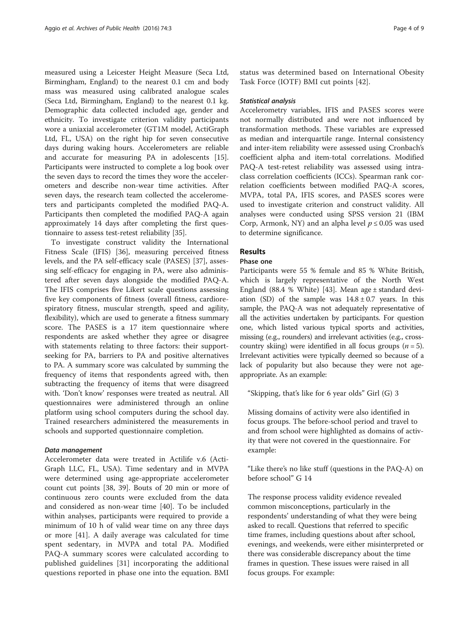measured using a Leicester Height Measure (Seca Ltd, Birmingham, England) to the nearest 0.1 cm and body mass was measured using calibrated analogue scales (Seca Ltd, Birmingham, England) to the nearest 0.1 kg. Demographic data collected included age, gender and ethnicity. To investigate criterion validity participants wore a uniaxial accelerometer (GT1M model, ActiGraph Ltd, FL, USA) on the right hip for seven consecutive days during waking hours. Accelerometers are reliable and accurate for measuring PA in adolescents [\[15](#page-7-0)]. Participants were instructed to complete a log book over the seven days to record the times they wore the accelerometers and describe non-wear time activities. After seven days, the research team collected the accelerometers and participants completed the modified PAQ-A. Participants then completed the modified PAQ-A again approximately 14 days after completing the first questionnaire to assess test-retest reliability [\[35\]](#page--1-0).

To investigate construct validity the International Fitness Scale (IFIS) [\[36\]](#page--1-0), measuring perceived fitness levels, and the PA self-efficacy scale (PASES) [\[37](#page--1-0)], assessing self-efficacy for engaging in PA, were also administered after seven days alongside the modified PAQ-A. The IFIS comprises five Likert scale questions assessing five key components of fitness (overall fitness, cardiorespiratory fitness, muscular strength, speed and agility, flexibility), which are used to generate a fitness summary score. The PASES is a 17 item questionnaire where respondents are asked whether they agree or disagree with statements relating to three factors: their supportseeking for PA, barriers to PA and positive alternatives to PA. A summary score was calculated by summing the frequency of items that respondents agreed with, then subtracting the frequency of items that were disagreed with. 'Don't know' responses were treated as neutral. All questionnaires were administered through an online platform using school computers during the school day. Trained researchers administered the measurements in schools and supported questionnaire completion.

#### Data management

Accelerometer data were treated in Actilife v.6 (Acti-Graph LLC, FL, USA). Time sedentary and in MVPA were determined using age-appropriate accelerometer count cut points [\[38, 39](#page--1-0)]. Bouts of 20 min or more of continuous zero counts were excluded from the data and considered as non-wear time [\[40\]](#page--1-0). To be included within analyses, participants were required to provide a minimum of 10 h of valid wear time on any three days or more [[41\]](#page--1-0). A daily average was calculated for time spent sedentary, in MVPA and total PA. Modified PAQ-A summary scores were calculated according to published guidelines [[31\]](#page--1-0) incorporating the additional questions reported in phase one into the equation. BMI status was determined based on International Obesity Task Force (IOTF) BMI cut points [[42](#page--1-0)].

#### Statistical analysis

Accelerometry variables, IFIS and PASES scores were not normally distributed and were not influenced by transformation methods. These variables are expressed as median and interquartile range. Internal consistency and inter-item reliability were assessed using Cronbach's coefficient alpha and item-total correlations. Modified PAQ-A test-retest reliability was assessed using intraclass correlation coefficients (ICCs). Spearman rank correlation coefficients between modified PAQ-A scores, MVPA, total PA, IFIS scores, and PASES scores were used to investigate criterion and construct validity. All analyses were conducted using SPSS version 21 (IBM Corp, Armonk, NY) and an alpha level  $p \le 0.05$  was used to determine significance.

#### Results

#### Phase one

Participants were 55 % female and 85 % White British, which is largely representative of the North West England (88.4 % White) [[43\]](#page--1-0). Mean age  $\pm$  standard deviation (SD) of the sample was  $14.8 \pm 0.7$  years. In this sample, the PAQ-A was not adequately representative of all the activities undertaken by participants. For question one, which listed various typical sports and activities, missing (e.g., rounders) and irrelevant activities (e.g., crosscountry skiing) were identified in all focus groups  $(n = 5)$ . Irrelevant activities were typically deemed so because of a lack of popularity but also because they were not ageappropriate. As an example:

"Skipping, that's like for 6 year olds" Girl (G) 3

Missing domains of activity were also identified in focus groups. The before-school period and travel to and from school were highlighted as domains of activity that were not covered in the questionnaire. For example:

"Like there's no like stuff (questions in the PAQ-A) on before school" G 14

The response process validity evidence revealed common misconceptions, particularly in the respondents' understanding of what they were being asked to recall. Questions that referred to specific time frames, including questions about after school, evenings, and weekends, were either misinterpreted or there was considerable discrepancy about the time frames in question. These issues were raised in all focus groups. For example: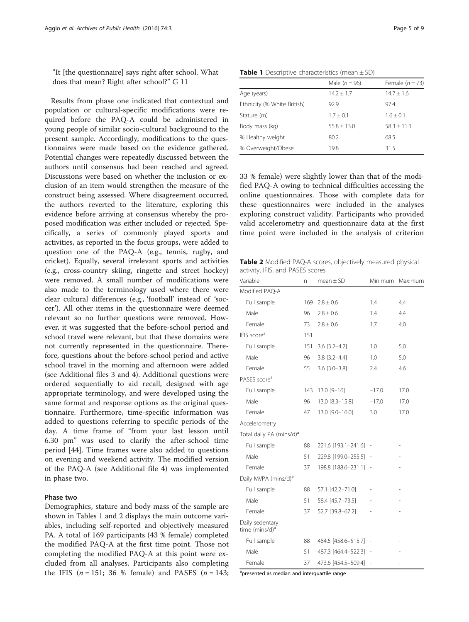"It [the questionnaire] says right after school. What does that mean? Right after school?" G 11

Results from phase one indicated that contextual and population or cultural-specific modifications were required before the PAQ-A could be administered in young people of similar socio-cultural background to the present sample. Accordingly, modifications to the questionnaires were made based on the evidence gathered. Potential changes were repeatedly discussed between the authors until consensus had been reached and agreed. Discussions were based on whether the inclusion or exclusion of an item would strengthen the measure of the construct being assessed. Where disagreement occurred, the authors reverted to the literature, exploring this evidence before arriving at consensus whereby the proposed modification was either included or rejected. Specifically, a series of commonly played sports and activities, as reported in the focus groups, were added to question one of the PAQ-A (e.g., tennis, rugby, and cricket). Equally, several irrelevant sports and activities (e.g., cross-country skiing, ringette and street hockey) were removed. A small number of modifications were also made to the terminology used where there were clear cultural differences (e.g., 'football' instead of 'soccer'). All other items in the questionnaire were deemed relevant so no further questions were removed. However, it was suggested that the before-school period and school travel were relevant, but that these domains were not currently represented in the questionnaire. Therefore, questions about the before-school period and active school travel in the morning and afternoon were added (see Additional files [3](#page-7-0) and [4](#page-7-0)). Additional questions were ordered sequentially to aid recall, designed with age appropriate terminology, and were developed using the same format and response options as the original questionnaire. Furthermore, time-specific information was added to questions referring to specific periods of the day. A time frame of "from your last lesson until 6.30 pm" was used to clarify the after-school time period [\[44](#page--1-0)]. Time frames were also added to questions on evening and weekend activity. The modified version of the PAQ-A (see Additional file [4\)](#page-7-0) was implemented in phase two.

#### Phase two

Demographics, stature and body mass of the sample are shown in Tables 1 and 2 displays the main outcome variables, including self-reported and objectively measured PA. A total of 169 participants (43 % female) completed the modified PAQ-A at the first time point. Those not completing the modified PAQ-A at this point were excluded from all analyses. Participants also completing the IFIS ( $n = 151$ ; 36 % female) and PASES ( $n = 143$ ;

|  |  | <b>Table 1</b> Descriptive characteristics (mean $\pm$ SD) |  |
|--|--|------------------------------------------------------------|--|
|--|--|------------------------------------------------------------|--|

|                             | Male $(n = 96)$ | Female $(n = 73)$ |
|-----------------------------|-----------------|-------------------|
| Age (years)                 | $14.2 + 1.7$    | $14.7 + 1.6$      |
| Ethnicity (% White British) | 92.9            | 97.4              |
| Stature (m)                 | $1.7 \pm 0.1$   | $1.6 \pm 0.1$     |
| Body mass (kg)              | $55.8 + 13.0$   | $58.3 \pm 11.1$   |
| % Healthy weight            | 80.2            | 68.5              |
| % Overweight/Obese          | 19.8            | 31.5              |

33 % female) were slightly lower than that of the modified PAQ-A owing to technical difficulties accessing the online questionnaires. Those with complete data for these questionnaires were included in the analyses exploring construct validity. Participants who provided valid accelerometry and questionnaire data at the first time point were included in the analysis of criterion

Table 2 Modified PAQ-A scores, objectively measured physical activity, IFIS, and PASES scores

| Variable                                      | n   | mean $\pm$ SD         | Minimum                      | Maximum |
|-----------------------------------------------|-----|-----------------------|------------------------------|---------|
| Modified PAQ-A                                |     |                       |                              |         |
| Full sample                                   | 169 | $2.8 \pm 0.6$         | 1.4                          | 4.4     |
| Male                                          | 96  | $2.8 \pm 0.6$         | 1.4                          | 4.4     |
| Female                                        | 73  | $2.8 \pm 0.6$         | 1.7                          | 4.0     |
| IFIS score <sup>a</sup>                       | 151 |                       |                              |         |
| Full sample                                   | 151 | $3.6$ [ $3.2 - 4.2$ ] | 1.0                          | 5.0     |
| Male                                          | 96  | $3.8$ [ $3.2 - 4.4$ ] | 1.0                          | 5.0     |
| Female                                        | 55  | $3.6$ [ $3.0 - 3.8$ ] | 2.4                          | 4.6     |
| PASES score <sup>a</sup>                      |     |                       |                              |         |
| Full sample                                   | 143 | 13.0 [9-16]           | $-17.0$                      | 17.0    |
| Male                                          | 96  | 13.0 [8.3-15.8]       | $-17.0$                      | 17.0    |
| Female                                        | 47  | 13.0 [9.0-16.0]       | 3.0                          | 17.0    |
| Accelerometry                                 |     |                       |                              |         |
| Total daily PA (mins/d) <sup>a</sup>          |     |                       |                              |         |
| Full sample                                   | 88  | 221.6 [193.1-241.6]   |                              |         |
| Male                                          | 51  | 229.8 [199.0-255.5]   |                              |         |
| Female                                        | 37  | 198.8 [188.6-231.1] - |                              |         |
| Daily MVPA (mins/d) <sup>a</sup>              |     |                       |                              |         |
| Full sample                                   | 88  | 57.1 [42.2-71.0]      | $\overline{\phantom{m}}$     |         |
| Male                                          | 51  | 58.4 [45.7-73.5]      |                              |         |
| Female                                        | 37  | 52.7 [39.8-67.2]      |                              |         |
| Daily sedentary<br>time (mins/d) <sup>a</sup> |     |                       |                              |         |
| Full sample                                   | 88  | 484.5 [458.6-515.7]   |                              |         |
| Male                                          | 51  | 487.3 [464.4-522.3]   | $\qquad \qquad \blacksquare$ |         |
| Female                                        | 37  | 473.6 [454.5-509.4]   | $\sim$                       |         |

<sup>a</sup>presented as median and interquartile range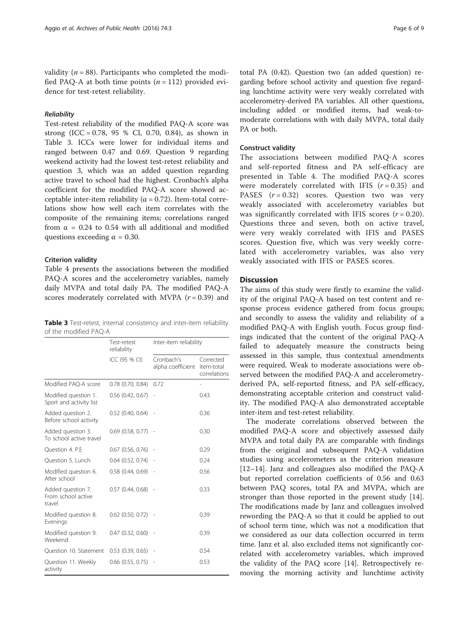validity ( $n = 88$ ). Participants who completed the modified PAQ-A at both time points ( $n = 112$ ) provided evidence for test-retest reliability.

#### **Reliability**

Test-retest reliability of the modified PAQ-A score was strong (ICC = 0.78, 95 % CI, 0.70, 0.84), as shown in Table 3. ICCs were lower for individual items and ranged between 0.47 and 0.69. Question 9 regarding weekend activity had the lowest test-retest reliability and question 3, which was an added question regarding active travel to school had the highest. Cronbach's alpha coefficient for the modified PAQ-A score showed acceptable inter-item reliability (α = 0.72). Item-total correlations show how well each item correlates with the composite of the remaining items; correlations ranged from  $\alpha$  = 0.24 to 0.54 with all additional and modified questions exceeding  $\alpha = 0.30$ .

#### Criterion validity

Table [4](#page-6-0) presents the associations between the modified PAQ-A scores and the accelerometry variables, namely daily MVPA and total daily PA. The modified PAQ-A scores moderately correlated with MVPA  $(r = 0.39)$  and

Table 3 Test-retest, internal consistency and inter-item reliability of the modified PAQ-A

|                                                   | Test-retest<br>reliability | Inter-item reliability                     |                           |  |
|---------------------------------------------------|----------------------------|--------------------------------------------|---------------------------|--|
|                                                   | ICC (95 % CI)              | Cronbach's<br>alpha coefficient item-total | Corrected<br>correlations |  |
| Modified PAQ-A score                              | $0.78$ (0.70, 0.84)        | 0.72                                       |                           |  |
| Modified question 1.<br>Sport and activity list   | 0.56(0.42, 0.67)           |                                            | 0.43                      |  |
| Added question 2.<br>Before school activity       | $0.52$ (0.40, 0.64)        |                                            | 0.36                      |  |
| Added question 3.<br>To school active travel      | $0.69$ $(0.58, 0.77)$      |                                            | 0.30                      |  |
| Ouestion 4. P.E                                   | $0.67$ $(0.56, 0.76)$      |                                            | 0.29                      |  |
| Ouestion 5. Lunch                                 | $0.64$ $(0.52, 0.74)$      |                                            | 0.24                      |  |
| Modified question 6.<br>After school              | 0.58(0.44, 0.69)           |                                            | 0.56                      |  |
| Added question 7.<br>From school active<br>travel | 0.57(0.44, 0.68)           |                                            | 0.33                      |  |
| Modified question 8.<br>Evenings                  | $0.62$ (0.50, 0.72)        |                                            | 0.39                      |  |
| Modified question 9.<br>Weekend                   | 0.47(0.32, 0.60)           |                                            | 0.39                      |  |
| Ouestion 10. Statement                            | $0.53$ $(0.39, 0.65)$      |                                            | 0.54                      |  |
| Question 11. Weekly<br>activity                   | $0.66$ $(0.55, 0.75)$      |                                            | 0.53                      |  |

total PA (0.42). Question two (an added question) regarding before school activity and question five regarding lunchtime activity were very weakly correlated with accelerometry-derived PA variables. All other questions, including added or modified items, had weak-tomoderate correlations with with daily MVPA, total daily PA or both.

#### Construct validity

The associations between modified PAQ-A scores and self-reported fitness and PA self-efficacy are presented in Table [4.](#page-6-0) The modified PAQ-A scores were moderately correlated with IFIS  $(r = 0.35)$  and PASES  $(r = 0.32)$  scores. Question two was very weakly associated with accelerometry variables but was significantly correlated with IFIS scores  $(r = 0.20)$ . Questions three and seven, both on active travel, were very weakly correlated with IFIS and PASES scores. Question five, which was very weekly correlated with accelerometry variables, was also very weakly associated with IFIS or PASES scores.

#### **Discussion**

The aims of this study were firstly to examine the validity of the original PAQ-A based on test content and response process evidence gathered from focus groups; and secondly to assess the validity and reliability of a modified PAQ-A with English youth. Focus group findings indicated that the content of the original PAQ-A failed to adequately measure the constructs being assessed in this sample, thus contextual amendments were required. Weak to moderate associations were observed between the modified PAQ-A and accelerometryderived PA, self-reported fitness, and PA self-efficacy, demonstrating acceptable criterion and construct validity. The modified PAQ-A also demonstrated acceptable inter-item and test-retest reliability.

The moderate correlations observed between the modified PAQ-A score and objectively assessed daily MVPA and total daily PA are comparable with findings from the original and subsequent PAQ-A validation studies using accelerometers as the criterion measure [[12](#page-7-0)–[14](#page-7-0)]. Janz and colleagues also modified the PAQ-A but reported correlation coefficients of 0.56 and 0.63 between PAQ scores, total PA and MVPA, which are stronger than those reported in the present study [\[14](#page-7-0)]. The modifications made by Janz and colleagues involved rewording the PAQ-A so that it could be applied to out of school term time, which was not a modification that we considered as our data collection occurred in term time. Janz et al. also excluded items not significantly correlated with accelerometry variables, which improved the validity of the PAQ score [\[14](#page-7-0)]. Retrospectively removing the morning activity and lunchtime activity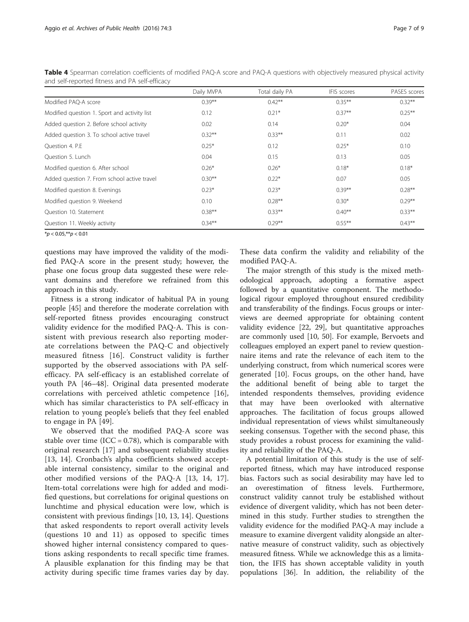|                                              | Daily MVPA | Total daily PA | IFIS scores | PASES scores |
|----------------------------------------------|------------|----------------|-------------|--------------|
| Modified PAQ-A score                         | $0.39***$  | $0.42***$      | $0.35***$   | $0.32***$    |
| Modified question 1. Sport and activity list | 0.12       | $0.21*$        | $0.37***$   | $0.25***$    |
| Added question 2. Before school activity     | 0.02       | 0.14           | $0.20*$     | 0.04         |
| Added question 3. To school active travel    | $0.32***$  | $0.33***$      | 0.11        | 0.02         |
| Ouestion 4. P.E.                             | $0.25*$    | 0.12           | $0.25*$     | 0.10         |
| Ouestion 5. Lunch                            | 0.04       | 0.15           | 0.13        | 0.05         |
| Modified question 6. After school            | $0.26*$    | $0.26*$        | $0.18*$     | $0.18*$      |
| Added question 7. From school active travel  | $0.30**$   | $0.22*$        | 0.07        | 0.05         |
| Modified question 8. Evenings                | $0.23*$    | $0.23*$        | $0.39***$   | $0.28***$    |
| Modified question 9. Weekend                 | 0.10       | $0.28***$      | $0.30*$     | $0.29**$     |
| Ouestion 10. Statement                       | $0.38***$  | $0.33***$      | $0.40***$   | $0.33***$    |
| Question 11. Weekly activity                 | $0.34***$  | $0.29***$      | $0.55***$   | $0.43***$    |

<span id="page-6-0"></span>Table 4 Spearman correlation coefficients of modified PAQ-A score and PAQ-A questions with objectively measured physical activity and self-reported fitness and PA self-efficacy

 $*$ *p* < 0.05,  $*$ *x* $p$  < 0.01

questions may have improved the validity of the modified PAQ-A score in the present study; however, the phase one focus group data suggested these were relevant domains and therefore we refrained from this approach in this study.

Fitness is a strong indicator of habitual PA in young people [\[45](#page--1-0)] and therefore the moderate correlation with self-reported fitness provides encouraging construct validity evidence for the modified PAQ-A. This is consistent with previous research also reporting moderate correlations between the PAQ-C and objectively measured fitness [\[16\]](#page-7-0). Construct validity is further supported by the observed associations with PA selfefficacy. PA self-efficacy is an established correlate of youth PA [\[46](#page--1-0)–[48](#page--1-0)]. Original data presented moderate correlations with perceived athletic competence [\[16](#page-7-0)], which has similar characteristics to PA self-efficacy in relation to young people's beliefs that they feel enabled to engage in PA [[49](#page--1-0)].

We observed that the modified PAQ-A score was stable over time (ICC =  $0.78$ ), which is comparable with original research [\[17](#page-7-0)] and subsequent reliability studies [[13, 14\]](#page-7-0). Cronbach's alpha coefficients showed acceptable internal consistency, similar to the original and other modified versions of the PAQ-A [\[13](#page-7-0), [14](#page-7-0), [17](#page-7-0)]. Item-total correlations were high for added and modified questions, but correlations for original questions on lunchtime and physical education were low, which is consistent with previous findings [[10](#page-7-0), [13](#page-7-0), [14](#page-7-0)]. Questions that asked respondents to report overall activity levels (questions 10 and 11) as opposed to specific times showed higher internal consistency compared to questions asking respondents to recall specific time frames. A plausible explanation for this finding may be that activity during specific time frames varies day by day. These data confirm the validity and reliability of the modified PAQ-A.

The major strength of this study is the mixed methodological approach, adopting a formative aspect followed by a quantitative component. The methodological rigour employed throughout ensured credibility and transferability of the findings. Focus groups or interviews are deemed appropriate for obtaining content validity evidence [[22,](#page-7-0) [29\]](#page--1-0), but quantitative approaches are commonly used [\[10](#page-7-0), [50\]](#page--1-0). For example, Bervoets and colleagues employed an expert panel to review questionnaire items and rate the relevance of each item to the underlying construct, from which numerical scores were generated [\[10\]](#page-7-0). Focus groups, on the other hand, have the additional benefit of being able to target the intended respondents themselves, providing evidence that may have been overlooked with alternative approaches. The facilitation of focus groups allowed individual representation of views whilst simultaneously seeking consensus. Together with the second phase, this study provides a robust process for examining the validity and reliability of the PAQ-A.

A potential limitation of this study is the use of selfreported fitness, which may have introduced response bias. Factors such as social desirability may have led to an overestimation of fitness levels. Furthermore, construct validity cannot truly be established without evidence of divergent validity, which has not been determined in this study. Further studies to strengthen the validity evidence for the modified PAQ-A may include a measure to examine divergent validity alongside an alternative measure of construct validity, such as objectively measured fitness. While we acknowledge this as a limitation, the IFIS has shown acceptable validity in youth populations [\[36\]](#page--1-0). In addition, the reliability of the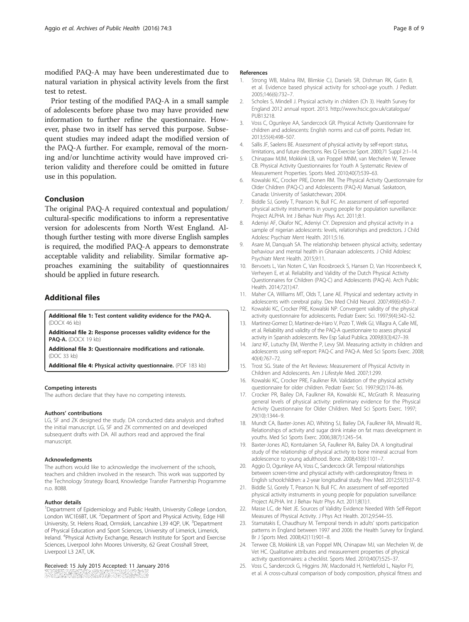<span id="page-7-0"></span>modified PAQ-A may have been underestimated due to natural variation in physical activity levels from the first test to retest.

Prior testing of the modified PAQ-A in a small sample of adolescents before phase two may have provided new information to further refine the questionnaire. However, phase two in itself has served this purpose. Subsequent studies may indeed adapt the modified version of the PAQ-A further. For example, removal of the morning and/or lunchtime activity would have improved criterion validity and therefore could be omitted in future use in this population.

#### Conclusion

The original PAQ-A required contextual and population/ cultural-specific modifications to inform a representative version for adolescents from North West England. Although further testing with more diverse English samples is required, the modified PAQ-A appears to demonstrate acceptable validity and reliability. Similar formative approaches examining the suitability of questionnaires should be applied in future research.

#### Additional files

[Additional file 1:](dx.doi.org/10.1186/s13690-016-0115-2) Test content validity evidence for the PAQ-A. (DOCX 46 kb)

[Additional file 2:](dx.doi.org/10.1186/s13690-016-0115-2) Response processes validity evidence for the **PAQ-A.** (DOCX 19 kb)

[Additional file 3:](dx.doi.org/10.1186/s13690-016-0115-2) Questionnaire modifications and rationale. (DOC 33 kb)

[Additional file 4:](dx.doi.org/10.1186/s13690-016-0115-2) Physical activity questionnaire. (PDF 183 kb)

#### Competing interests

The authors declare that they have no competing interests.

#### Authors' contributions

LG, SF and ZK designed the study. DA conducted data analysis and drafted the initial manuscript. LG, SF and ZK commented on and developed subsequent drafts with DA. All authors read and approved the final manuscript.

#### Acknowledgments

The authors would like to acknowledge the involvement of the schools, teachers and children involved in the research. This work was supported by the Technology Strategy Board, Knowledge Transfer Partnership Programme n.o. 8088.

#### Author details

<sup>1</sup>Department of Epidemiology and Public Health, University College London, London WC1E6BT, UK. <sup>2</sup>Department of Sport and Physical Activity, Edge Hill University, St. Helens Road, Ormskirk, Lancashire L39 4QP, UK. <sup>3</sup>Department of Physical Education and Sport Sciences, University of Limerick, Limerick, Ireland. <sup>4</sup>Physical Activity Exchange, Research Institute for Sport and Exercise Sciences, Liverpool John Moores University, 62 Great Crosshall Street, Liverpool L3 2AT, UK.

## Received: 15 July 2015 Accepted: 11 January 2016

#### References

- 1. Strong WB, Malina RM, Blimkie CJ, Daniels SR, Dishman RK, Gutin B, et al. Evidence based physical activity for school-age youth. J Pediatr. 2005;146(6):732–7.
- 2. Scholes S, Mindell J. Physical activity in children (Ch 3). Health Survey for England 2012 annual report. 2013. [http://www.hscic.gov.uk/catalogue/](http://www.hscic.gov.uk/catalogue/PUB13218) [PUB13218](http://www.hscic.gov.uk/catalogue/PUB13218).
- 3. Voss C, Ogunleye AA, Sandercock GR. Physical Activity Questionnaire for children and adolescents: English norms and cut-off points. Pediatr Int. 2013;55(4):498–507.
- Sallis JF, Saelens BE. Assessment of physical activity by self-report: status, limitations, and future directions. Res Q Exercise Sport. 2000;71 Suppl 2:1–14.
- 5. Chinapaw MJM, Mokkink LB, van Poppel MNM, van Mechelen W, Terwee CB. Physical Activity Questionnaires for Youth A Systematic Review of Measurement Properties. Sports Med. 2010;40(7):539–63.
- Kowalski KC, Crocker PRE, Donen RM. The Physical Activity Questionnaire for Older Children (PAQ-C) and Adolescents (PAQ-A) Manual. Saskatoon, Canada: University of Saskatchewan; 2004.
- 7. Biddle SJ, Gorely T, Pearson N, Bull FC. An assessment of self-reported physical activity instruments in young people for population surveillance: Project ALPHA. Int J Behav Nutr Phys Act. 2011;8:1.
- 8. Adeniyi AF, Okafor NC, Adeniyi CY. Depression and physical activity in a sample of nigerian adolescents: levels, relationships and predictors. J Child Adolesc Psychiatr Ment Health. 2011;5:16.
- 9. Asare M, Danquah SA. The relationship between physical activity, sedentary behaviour and mental health in Ghanaian adolescents. J Child Adolesc Psychiatr Ment Health. 2015;9:11.
- 10. Bervoets L, Van Noten C, Van Roosbroeck S, Hansen D, Van Hoorenbeeck K, Verheyen E, et al. Reliability and Validity of the Dutch Physical Activity Questionnaires for Children (PAQ-C) and Adolescents (PAQ-A). Arch Public Health. 2014;72(1):47.
- 11. Maher CA, Williams MT, Olds T, Lane AE. Physical and sedentary activity in adolescents with cerebral palsy. Dev Med Child Neurol. 2007;49(6):450–7.
- 12. Kowalski KC, Crocker PRE, Kowalski NP. Convergent validity of the physical activity questionnaire for adolescents. Pediatr Exerc Sci. 1997;9(4):342–52.
- 13. Martinez-Gomez D, Martinez-de-Haro V, Pozo T, Welk GJ, Villagra A, Calle ME, et al. Reliability and validity of the PAQ-A questionnaire to assess physical activity in Spanish adolescents. Rev Esp Salud Publica. 2009;83(3):427–39.
- 14. Janz KF, Lutuchy EM, Wenthe P, Levy SM. Measuring activity in children and adolescents using self-report: PAQ-C and PAQ-A. Med Sci Sports Exerc. 2008; 40(4):767–72.
- 15. Trost SG. State of the Art Reviews: Measurement of Physical Activity in Children and Adolescents. Am J Lifestyle Med. 2007;1:299.
- 16. Kowalski KC, Crocker PRE, Faulkner RA. Validation of the physical activity questionnaire for older children. Pediatr Exerc Sci. 1997;9(2):174–86.
- 17. Crocker PR, Bailey DA, Faulkner RA, Kowalski KC, McGrath R. Measuring general levels of physical activity: preliminary evidence for the Physical Activity Questionnaire for Older Children. Med Sci Sports Exerc. 1997; 29(10):1344–9.
- 18. Mundt CA, Baxter-Jones AD, Whiting SJ, Bailey DA, Faulkner RA, Mirwald RL. Relationships of activity and sugar drink intake on fat mass development in youths. Med Sci Sports Exerc. 2006;38(7):1245–54.
- 19. Baxter-Jones AD, Kontulainen SA, Faulkner RA, Bailey DA. A longitudinal study of the relationship of physical activity to bone mineral accrual from adolescence to young adulthood. Bone. 2008;43(6):1101–7.
- 20. Aggio D, Ogunleye AA, Voss C, Sandercock GR. Temporal relationships between screen-time and physical activity with cardiorespiratory fitness in English schoolchildren: a 2-year longitudinal study. Prev Med. 2012;55(1):37–9.
- 21. Biddle SJ, Gorely T, Pearson N, Bull FC. An assessment of self-reported physical activity instruments in young people for population surveillance: Project ALPHA. Int J Behav Nutr Phys Act. 2011;8(1):1.
- 22. Masse LC, de Niet JE. Sources of Validity Evidence Needed With Self-Report Measures of Physical Activity. J Phys Act Health. 2012;9:S44–55.
- 23. Stamatakis E, Chaudhury M. Temporal trends in adults' sports participation patterns in England between 1997 and 2006: the Health Survey for England. Br J Sports Med. 2008;42(11):901–8.
- 24. Terwee CB, Mokkink LB, van Poppel MN, Chinapaw MJ, van Mechelen W, de Vet HC. Qualitative attributes and measurement properties of physical activity questionnaires: a checklist. Sports Med. 2010;40(7):525–37.
- 25. Voss C, Sandercock G, Higgins JW, Macdonald H, Nettlefold L, Naylor PJ, et al. A cross-cultural comparison of body composition, physical fitness and